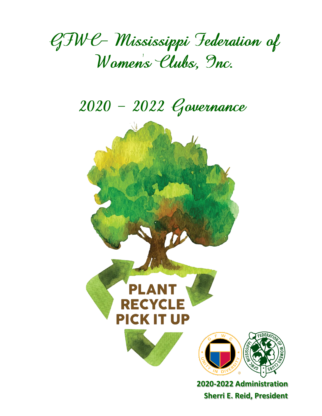# GFWC-Mississippi Federation of Women's Clubs, 9nc.





**Sherri E. Reid, President**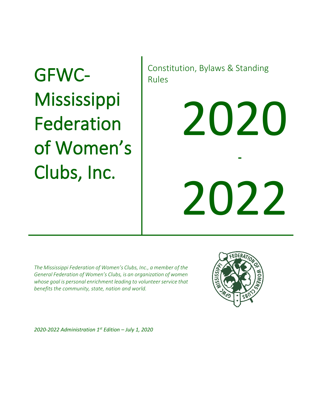# GFWC-**Mississippi** Federation of Women's Clubs, Inc.

Constitution, Bylaws & Standing Rules

2020

**-**

2022

*The Mississippi Federation of Women's Clubs, Inc., a member of the General Federation of Women's Clubs, is an organization of women whose goal is personal enrichment leading to volunteer service that benefits the community, state, nation and world.*

*2020-2022 Administration 1 st Edition – July 1, 2020*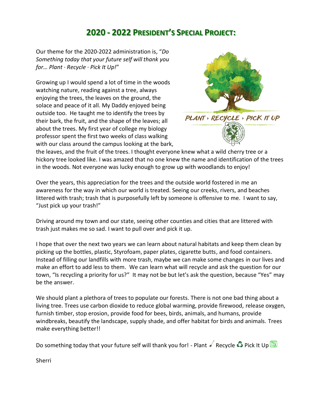# **2020 - 2022 PRESIDENT'S SPECIAL PROJECT:**

Our theme for the 2020-2022 administration is, "*Do Something today that your future self will thank you for… Plant · Recycle · Pick It Up!*"

Growing up I would spend a lot of time in the woods watching nature, reading against a tree, always enjoying the trees, the leaves on the ground, the solace and peace of it all. My Daddy enjoyed being outside too. He taught me to identify the trees by their bark, the fruit, and the shape of the leaves; all about the trees. My first year of college my biology professor spent the first two weeks of class walking with our class around the campus looking at the bark,



the leaves, and the fruit of the trees. I thought everyone knew what a wild cherry tree or a hickory tree looked like. I was amazed that no one knew the name and identification of the trees in the woods. Not everyone was lucky enough to grow up with woodlands to enjoy!

Over the years, this appreciation for the trees and the outside world fostered in me an awareness for the way in which our world is treated. Seeing our creeks, rivers, and beaches littered with trash; trash that is purposefully left by someone is offensive to me. I want to say, "Just pick up your trash!"

Driving around my town and our state, seeing other counties and cities that are littered with trash just makes me so sad. I want to pull over and pick it up.

I hope that over the next two years we can learn about natural habitats and keep them clean by picking up the bottles, plastic, Styrofoam, paper plates, cigarette butts, and food containers. Instead of filling our landfills with more trash, maybe we can make some changes in our lives and make an effort to add less to them. We can learn what will recycle and ask the question for our town, "Is recycling a priority for us?" It may not be but let's ask the question, because "Yes" may be the answer.

We should plant a plethora of trees to populate our forests. There is not one bad thing about a living tree. Trees use carbon dioxide to reduce global warming, provide firewood, release oxygen, furnish timber, stop erosion, provide food for bees, birds, animals, and humans, provide windbreaks, beautify the landscape, supply shade, and offer habitat for birds and animals. Trees make everything better!!

Do something today that your future self will thank you for! - Plant  $\checkmark$  Recycle  $\checkmark$  Pick It Up

Sherri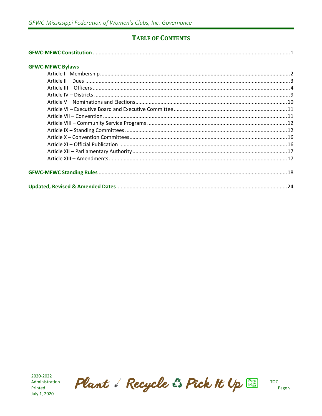# **TABLE OF CONTENTS**

| <b>GFWC-MFWC Bylaws</b> |  |
|-------------------------|--|
| Article I - Membership  |  |

Plant : Recycle & Pick It Up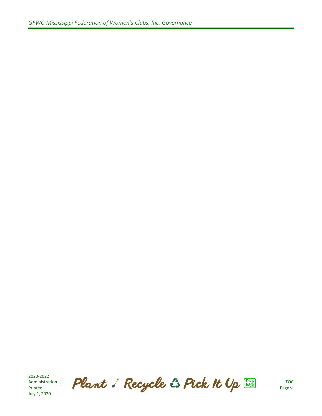2020-2022 Printed July 1, 2020

Administration **Plant ! Recycle 23 Pick It Up Chappen 100**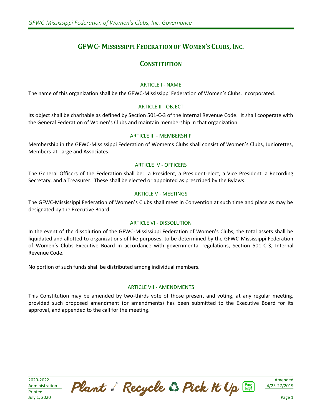# **GFWC- MISSISSIPPI FEDERATION OF WOMEN'S CLUBS,INC.**

### **CONSTITUTION**

#### ARTICLE I - NAME

The name of this organization shall be the GFWC-Mississippi Federation of Women's Clubs, Incorporated.

#### ARTICLE II - OBJECT

Its object shall be charitable as defined by Section 501-C-3 of the Internal Revenue Code. It shall cooperate with the General Federation of Women's Clubs and maintain membership in that organization.

#### ARTICLE III - MEMBERSHIP

Membership in the GFWC-Mississippi Federation of Women's Clubs shall consist of Women's Clubs, Juniorettes, Members-at-Large and Associates.

#### ARTICLE IV - OFFICERS

The General Officers of the Federation shall be: a President, a President-elect, a Vice President, a Recording Secretary, and a Treasurer. These shall be elected or appointed as prescribed by the Bylaws.

#### ARTICLE V - MEETINGS

The GFWC-Mississippi Federation of Women's Clubs shall meet in Convention at such time and place as may be designated by the Executive Board.

#### ARTICLE VI - DISSOLUTION

In the event of the dissolution of the GFWC-Mississippi Federation of Women's Clubs, the total assets shall be liquidated and allotted to organizations of like purposes, to be determined by the GFWC-Mississippi Federation of Women's Clubs Executive Board in accordance with governmental regulations, Section 501-C-3, Internal Revenue Code.

No portion of such funds shall be distributed among individual members.

#### ARTICLE VII - AMENDMENTS

This Constitution may be amended by two-thirds vote of those present and voting, at any regular meeting, provided such proposed amendment (or amendments) has been submitted to the Executive Board for its approval, and appended to the call for the meeting.

2020-2022<br>Administration **Plant & Recycle & Pick It Up Amended**<br>July 1, 2020 4/25-27/2019 July 1, 2020 Page 1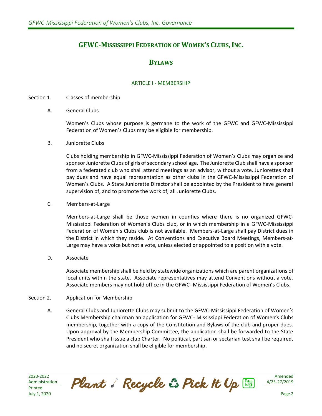# **GFWC-MISSISSIPPI FEDERATION OF WOMEN'S CLUBS,INC.**

# **BYLAWS**

#### ARTICLE I - MEMBERSHIP

#### Section 1. Classes of membership

#### A. General Clubs

Women's Clubs whose purpose is germane to the work of the GFWC and GFWC-Mississippi Federation of Women's Clubs may be eligible for membership.

#### B. Juniorette Clubs

Clubs holding membership in GFWC-Mississippi Federation of Women's Clubs may organize and sponsor Juniorette Clubs of girls of secondary school age. The Juniorette Club shall have a sponsor from a federated club who shall attend meetings as an advisor, without a vote. Juniorettes shall pay dues and have equal representation as other clubs in the GFWC-Mississippi Federation of Women's Clubs. A State Juniorette Director shall be appointed by the President to have general supervision of, and to promote the work of, all Juniorette Clubs.

#### C. Members-at-Large

Members-at-Large shall be those women in counties where there is no organized GFWC-Mississippi Federation of Women's Clubs club, or in which membership in a GFWC-Mississippi Federation of Women's Clubs club is not available. Members-at-Large shall pay District dues in the District in which they reside. At Conventions and Executive Board Meetings, Members-at-Large may have a voice but not a vote, unless elected or appointed to a position with a vote.

#### D. Associate

Associate membership shall be held by statewide organizations which are parent organizations of local units within the state. Associate representatives may attend Conventions without a vote. Associate members may not hold office in the GFWC- Mississippi Federation of Women's Clubs.

#### Section 2. Application for Membership

A. General Clubs and Juniorette Clubs may submit to the GFWC-Mississippi Federation of Women's Clubs Membership chairman an application for GFWC- Mississippi Federation of Women's Clubs membership, together with a copy of the Constitution and Bylaws of the club and proper dues. Upon approval by the Membership Committee, the application shall be forwarded to the State President who shall issue a club Charter. No political, partisan or sectarian test shall be required, and no secret organization shall be eligible for membership.

2020-2022<br>Administration **Plant & Recycle & Pick It Up Channel Amended** July 1, 2020 Page 2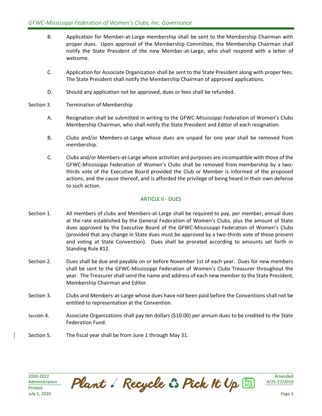- B. Application for Member-at-Large membership shall be sent to the Membership Chairman with proper dues. Upon approval of the Membership Committee, the Membership Chairman shall notify the State President of the new Member-at-Large, who shall respond with a letter of welcome.
- C. Application for Associate Organization shall be sent to the State President along with proper fees. The State President shall notify the Membership Chairman of approved applications.
- D. Should any application not be approved, dues or fees shall be refunded.
- Section 3. Termination of Membership
	- A. Resignation shall be submitted in writing to the GFWC-Mississippi Federation of Women's Clubs Membership Chairman, who shall notify the State President and Editor of each resignation.
	- B. Clubs and/or Members-at-Large whose dues are unpaid for one year shall be removed from membership.
	- C. Clubs and/or Members-at-Large whose activities and purposes are incompatible with those of the GFWC-Mississippi Federation of Women's Clubs shall be removed from membership by a twothirds vote of the Executive Board provided the Club or Member is informed of the proposed actions, and the cause thereof, and is afforded the privilege of being heard in their own defense to such action.

#### ARTICLE II - DUES

- Section 1. All members of clubs and Members-at-Large shall be required to pay, per member, annual dues at the rate established by the General Federation of Women's Clubs, plus the amount of State dues approved by the Executive Board of the GFWC-Mississippi Federation of Women's Clubs (provided that any change in State dues must be approved by a two-thirds vote of those present and voting at State Convention). Dues shall be prorated according to amounts set forth in Standing Rule #12.
- Section 2. Dues shall be due and payable on or before November 1st of each year. Dues for new members shall be sent to the GFWC-Mississippi Federation of Women's Clubs Treasurer throughout the year. The Treasurer shall send the name and address of each new member to the State President, Membership Chairman and Editor.
- Section 3. Clubs and Members-at-Large whose dues have not been paid before the Conventions shall not be entitled to representation at the Convention.
- Section 4. Associate Organizations shall pay ten dollars (\$10.00) per annum dues to be credited to the State Federation Fund.
- Section 5. The fiscal year shall be from June 1 through May 31.

2020-2022<br>Administration **Plant & Recycle & Pick It Up Channel Amended** 4/25-27/2019 July 1, 2020 Page 3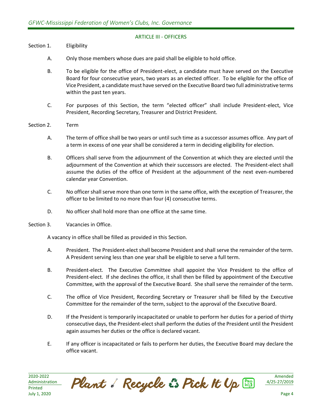#### ARTICLE III - OFFICERS

Section 1. Eligibility

- A. Only those members whose dues are paid shall be eligible to hold office.
- B. To be eligible for the office of President-elect, a candidate must have served on the Executive Board for four consecutive years, two years as an elected officer. To be eligible for the office of Vice President, a candidate must have served on the Executive Board two full administrative terms within the past ten years.
- C. For purposes of this Section, the term "elected officer" shall include President-elect, Vice President, Recording Secretary, Treasurer and District President.

#### Section 2. Term

- A. The term of office shall be two years or until such time as a successor assumes office. Any part of a term in excess of one year shall be considered a term in deciding eligibility for election.
- B. Officers shall serve from the adjournment of the Convention at which they are elected until the adjournment of the Convention at which their successors are elected. The President-elect shall assume the duties of the office of President at the adjournment of the next even-numbered calendar year Convention.
- C. No officer shall serve more than one term in the same office, with the exception of Treasurer, the officer to be limited to no more than four (4) consecutive terms.
- D. No officer shall hold more than one office at the same time.
- Section 3. Vacancies in Office.

A vacancy in office shall be filled as provided in this Section.

- A. President. The President-elect shall become President and shall serve the remainder of the term. A President serving less than one year shall be eligible to serve a full term.
- B. President-elect. The Executive Committee shall appoint the Vice President to the office of President-elect. If she declines the office, it shall then be filled by appointment of the Executive Committee, with the approval of the Executive Board. She shall serve the remainder of the term.
- C. The office of Vice President, Recording Secretary or Treasurer shall be filled by the Executive Committee for the remainder of the term, subject to the approval of the Executive Board.
- D. If the President is temporarily incapacitated or unable to perform her duties for a period of thirty consecutive days, the President-elect shall perform the duties of the President until the President again assumes her duties or the office is declared vacant.
- E. If any officer is incapacitated or fails to perform her duties, the Executive Board may declare the office vacant.

2020-2022<br>Administration **Plant & Recycle & Pick It Up Channel Amended** 4/25-27/2019 July 1, 2020 Page 4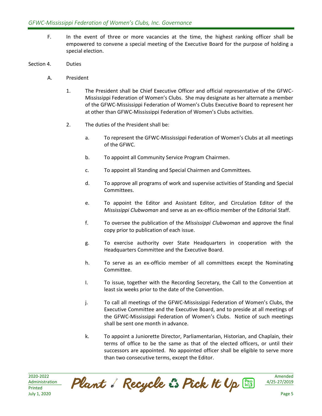- F. In the event of three or more vacancies at the time, the highest ranking officer shall be empowered to convene a special meeting of the Executive Board for the purpose of holding a special election.
- Section 4. Duties
	- A. President
		- 1. The President shall be Chief Executive Officer and official representative of the GFWC-Mississippi Federation of Women's Clubs. She may designate as her alternate a member of the GFWC-Mississippi Federation of Women's Clubs Executive Board to represent her at other than GFWC-Mississippi Federation of Women's Clubs activities.
		- 2. The duties of the President shall be:
			- a. To represent the GFWC-Mississippi Federation of Women's Clubs at all meetings of the GFWC.
			- b. To appoint all Community Service Program Chairmen.
			- c. To appoint all Standing and Special Chairmen and Committees.
			- d. To approve all programs of work and supervise activities of Standing and Special Committees.
			- e. To appoint the Editor and Assistant Editor, and Circulation Editor of the *Mississippi Clubwoman* and serve as an ex-officio member of the Editorial Staff.
			- f. To oversee the publication of the *Mississippi Clubwoman* and approve the final copy prior to publication of each issue.
			- g. To exercise authority over State Headquarters in cooperation with the Headquarters Committee and the Executive Board.
			- h. To serve as an ex-officio member of all committees except the Nominating Committee.
			- I. To issue, together with the Recording Secretary, the Call to the Convention at least six weeks prior to the date of the Convention.
			- j. To call all meetings of the GFWC-Mississippi Federation of Women's Clubs, the Executive Committee and the Executive Board, and to preside at all meetings of the GFWC-Mississippi Federation of Women's Clubs. Notice of such meetings shall be sent one month in advance.
			- k. To appoint a Juniorette Director, Parliamentarian, Historian, and Chaplain, their terms of office to be the same as that of the elected officers, or until their successors are appointed. No appointed officer shall be eligible to serve more than two consecutive terms, except the Editor.

2020-2022<br>Administration **Plant & Recycle & Pick It Up**  $\frac{\text{Area}}{\text{triangle}}$  4/25-27/2019 July 1, 2020 Page 5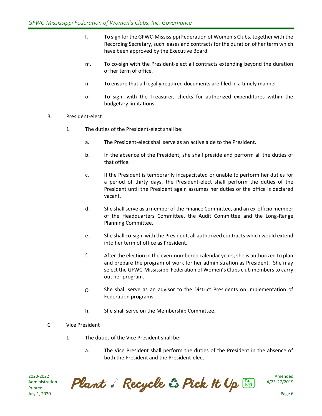- l. To sign for the GFWC-Mississippi Federation of Women's Clubs, together with the Recording Secretary, such leases and contracts for the duration of her term which have been approved by the Executive Board.
- m. To co-sign with the President-elect all contracts extending beyond the duration of her term of office.
- n. To ensure that all legally required documents are filed in a timely manner.
- o. To sign, with the Treasurer, checks for authorized expenditures within the budgetary limitations.
- B. President-elect
	- 1. The duties of the President-elect shall be:
		- a. The President-elect shall serve as an active aide to the President.
		- b. In the absence of the President, she shall preside and perform all the duties of that office.
		- c. If the President is temporarily incapacitated or unable to perform her duties for a period of thirty days, the President-elect shall perform the duties of the President until the President again assumes her duties or the office is declared vacant.
		- d. She shall serve as a member of the Finance Committee, and an ex-officio member of the Headquarters Committee, the Audit Committee and the Long-Range Planning Committee.
		- e. She shall co-sign, with the President, all authorized contracts which would extend into her term of office as President.
		- f. After the election in the even-numbered calendar years, she is authorized to plan and prepare the program of work for her administration as President. She may select the GFWC-Mississippi Federation of Women's Clubs club members to carry out her program.
		- g. She shall serve as an advisor to the District Presidents on implementation of Federation programs.
		- h. She shall serve on the Membership Committee.
- C. Vice President
	- 1. The duties of the Vice President shall be:
		- a. The Vice President shall perform the duties of the President in the absence of both the President and the President-elect.

2020-2022<br>Administration **Plant & Recycle & Pick It Up Channel Amended** July 1, 2020 Page 6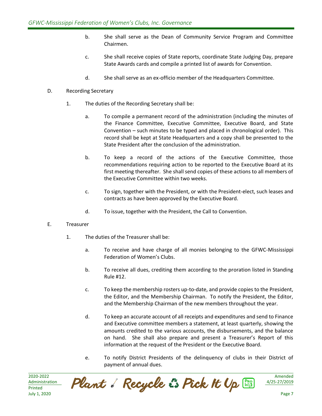- b. She shall serve as the Dean of Community Service Program and Committee Chairmen.
- c. She shall receive copies of State reports, coordinate State Judging Day, prepare State Awards cards and compile a printed list of awards for Convention.
- d. She shall serve as an ex-officio member of the Headquarters Committee.
- D. Recording Secretary
	- 1. The duties of the Recording Secretary shall be:
		- a. To compile a permanent record of the administration (including the minutes of the Finance Committee, Executive Committee, Executive Board, and State Convention – such minutes to be typed and placed in chronological order). This record shall be kept at State Headquarters and a copy shall be presented to the State President after the conclusion of the administration.
		- b. To keep a record of the actions of the Executive Committee, those recommendations requiring action to be reported to the Executive Board at its first meeting thereafter. She shall send copies of these actions to all members of the Executive Committee within two weeks.
		- c. To sign, together with the President, or with the President-elect, such leases and contracts as have been approved by the Executive Board.
		- d. To issue, together with the President, the Call to Convention.

#### E. Treasurer

- 1. The duties of the Treasurer shall be:
	- a. To receive and have charge of all monies belonging to the GFWC-Mississippi Federation of Women's Clubs.
	- b. To receive all dues, crediting them according to the proration listed in Standing Rule #12.
	- c. To keep the membership rosters up-to-date, and provide copies to the President, the Editor, and the Membership Chairman. To notify the President, the Editor, and the Membership Chairman of the new members throughout the year.
	- d. To keep an accurate account of all receipts and expenditures and send to Finance and Executive committee members a statement, at least quarterly, showing the amounts credited to the various accounts, the disbursements, and the balance on hand. She shall also prepare and present a Treasurer's Report of this information at the request of the President or the Executive Board.
	- e. To notify District Presidents of the delinquency of clubs in their District of payment of annual dues.

2020-2022<br>Administration **Plant & Recycle & Pick It Up Channel Amended** 4/25-27/2019 July 1, 2020 Page 7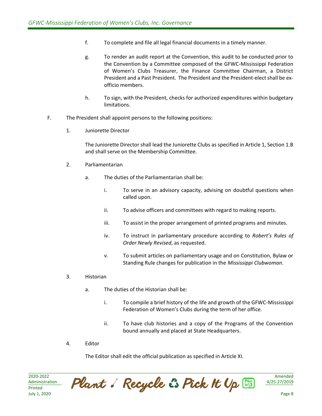- f. To complete and file all legal financial documents in a timely manner.
- g. To render an audit report at the Convention, this audit to be conducted prior to the Convention by a Committee composed of the GFWC-Mississippi Federation of Women's Clubs Treasurer, the Finance Committee Chairman, a District President and a Past President. The President and the President-elect shall be exofficio members.
- h. To sign, with the President, checks for authorized expenditures within budgetary limitations.
- F. The President shall appoint persons to the following positions:
	- 1. Juniorette Director

The Juniorette Director shall lead the Juniorette Clubs as specified in Article 1, Section 1.B and shall serve on the Membership Committee.

- 2. Parliamentarian
	- a. The duties of the Parliamentarian shall be:
		- i. To serve in an advisory capacity, advising on doubtful questions when called upon.
		- ii. To advise officers and committees with regard to making reports.
		- iii. To assist in the proper arrangement of printed programs and minutes.
		- iv. To instruct in parliamentary procedure according to *Robert's Rules of Order Newly Revised*, as requested.
		- v. To submit articles on parliamentary usage and on Constitution, Bylaw or Standing Rule changes for publication in the *Mississippi Clubwoman*.
- 3. Historian
	- a. The duties of the Historian shall be:
		- i. To compile a brief history of the life and growth of the GFWC-Mississippi Federation of Women's Clubs during the term of her office.
		- ii. To have club histories and a copy of the Programs of the Convention bound annually and placed at State Headquarters.
- 4. Editor

The Editor shall edit the official publication as specified in Article XI.

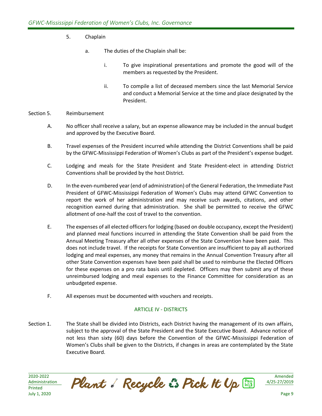- 5. Chaplain
	- a. The duties of the Chaplain shall be:
		- i. To give inspirational presentations and promote the good will of the members as requested by the President.
		- ii. To compile a list of deceased members since the last Memorial Service and conduct a Memorial Service at the time and place designated by the President.
- Section 5. Reimbursement
	- A. No officer shall receive a salary, but an expense allowance may be included in the annual budget and approved by the Executive Board.
	- B. Travel expenses of the President incurred while attending the District Conventions shall be paid by the GFWC-Mississippi Federation of Women's Clubs as part of the President's expense budget.
	- C. Lodging and meals for the State President and State President-elect in attending District Conventions shall be provided by the host District.
	- D. In the even-numbered year (end of administration) of the General Federation, the Immediate Past President of GFWC-Mississippi Federation of Women's Clubs may attend GFWC Convention to report the work of her administration and may receive such awards, citations, and other recognition earned during that administration. She shall be permitted to receive the GFWC allotment of one-half the cost of travel to the convention.
	- E. The expenses of all elected officers for lodging (based on double occupancy, except the President) and planned meal functions incurred in attending the State Convention shall be paid from the Annual Meeting Treasury after all other expenses of the State Convention have been paid. This does not include travel. If the receipts for State Convention are insufficient to pay all authorized lodging and meal expenses, any money that remains in the Annual Convention Treasury after all other State Convention expenses have been paid shall be used to reimburse the Elected Officers for these expenses on a pro rata basis until depleted. Officers may then submit any of these unreimbursed lodging and meal expenses to the Finance Committee for consideration as an unbudgeted expense.
	- F. All expenses must be documented with vouchers and receipts.

#### ARTICLE IV - DISTRICTS

Section 1. The State shall be divided into Districts, each District having the management of its own affairs, subject to the approval of the State President and the State Executive Board. Advance notice of not less than sixty (60) days before the Convention of the GFWC-Mississippi Federation of Women's Clubs shall be given to the Districts, if changes in areas are contemplated by the State Executive Board.

2020-2022<br>Administration **Plant & Recycle & Pick It Up Channel Amended** 4/25-27/2019 July 1, 2020 Page 9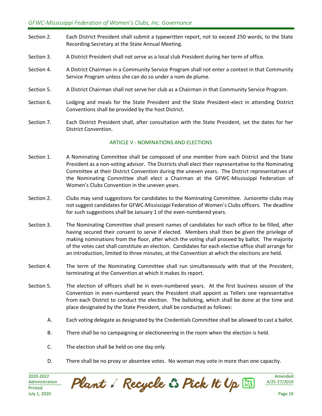- Section 2. Each District President shall submit a typewritten report, not to exceed 250 words, to the State Recording Secretary at the State Annual Meeting.
- Section 3. A District President shall not serve as a local club President during her term of office.
- Section 4. A District Chairman in a Community Service Program shall not enter a contest in that Community Service Program unless she can do so under a nom de plume.
- Section 5. A District Chairman shall not serve her club as a Chairman in that Community Service Program.
- Section 6. Lodging and meals for the State President and the State President-elect in attending District Conventions shall be provided by the host District.
- Section 7. Each District President shall, after consultation with the State President, set the dates for her District Convention.

#### ARTICLE V - NOMINATIONS AND ELECTIONS

- Section 1. A Nominating Committee shall be composed of one member from each District and the State President as a non-voting advisor. The Districts shall elect their representative to the Nominating Committee at their District Convention during the uneven years. The District representatives of the Nominating Committee shall elect a Chairman at the GFWC-Mississippi Federation of Women's Clubs Convention in the uneven years.
- Section 2. Clubs may send suggestions for candidates to the Nominating Committee. Juniorette clubs may not suggest candidates for GFWC-Mississippi Federation of Women's Clubs officers. The deadline for such suggestions shall be January 1 of the even-numbered years.
- Section 3. The Nominating Committee shall present names of candidates for each office to be filled, after having secured their consent to serve if elected. Members shall then be given the privilege of making nominations from the floor, after which the voting shall proceed by ballot. The majority of the votes cast shall constitute an election. Candidates for each elective office shall arrange for an introduction, limited to three minutes, at the Convention at which the elections are held.
- Section 4. The term of the Nominating Committee shall run simultaneously with that of the President, terminating at the Convention at which it makes its report.
- Section 5. The election of officers shall be in even-numbered years. At the first business session of the Convention in even-numbered years the President shall appoint as Tellers one representative from each District to conduct the election. The balloting, which shall be done at the time and place designated by the State President, shall be conducted as follows:
	- A. Each voting delegate as designated by the Credentials Committee shall be allowed to cast a ballot.
	- B. There shall be no campaigning or electioneering in the room when the election is held.
	- C. The election shall be held on one day only.
	- D. There shall be no proxy or absentee votes. No woman may vote in more than one capacity.

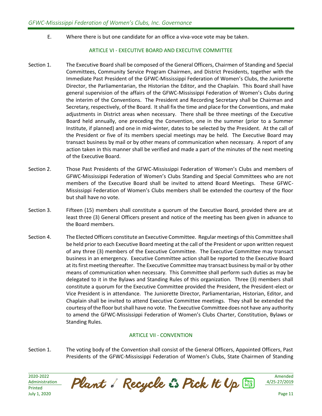E. Where there is but one candidate for an office a viva-voce vote may be taken.

#### ARTICLE VI - EXECUTIVE BOARD AND EXECUTIVE COMMITTEE

- Section 1. The Executive Board shall be composed of the General Officers, Chairmen of Standing and Special Committees, Community Service Program Chairmen, and District Presidents, together with the Immediate Past President of the GFWC-Mississippi Federation of Women's Clubs, the Juniorette Director, the Parliamentarian, the Historian the Editor, and the Chaplain. This Board shall have general supervision of the affairs of the GFWC-Mississippi Federation of Women's Clubs during the interim of the Conventions. The President and Recording Secretary shall be Chairman and Secretary, respectively, of the Board. It shall fix the time and place for the Conventions, and make adjustments in District areas when necessary. There shall be three meetings of the Executive Board held annually, one preceding the Convention, one in the summer (prior to a Summer Institute, if planned) and one in mid-winter, dates to be selected by the President. At the call of the President or five of its members special meetings may be held. The Executive Board may transact business by mail or by other means of communication when necessary. A report of any action taken in this manner shall be verified and made a part of the minutes of the next meeting of the Executive Board.
- Section 2. Those Past Presidents of the GFWC-Mississippi Federation of Women's Clubs and members of GFWC-Mississippi Federation of Women's Clubs Standing and Special Committees who are not members of the Executive Board shall be invited to attend Board Meetings. These GFWC-Mississippi Federation of Women's Clubs members shall be extended the courtesy of the floor but shall have no vote.
- Section 3. Fifteen (15) members shall constitute a quorum of the Executive Board, provided there are at least three (3) General Officers present and notice of the meeting has been given in advance to the Board members.
- Section 4. The Elected Officers constitute an Executive Committee. Regular meetings of this Committee shall be held prior to each Executive Board meeting at the call of the President or upon written request of any three (3) members of the Executive Committee. The Executive Committee may transact business in an emergency. Executive Committee action shall be reported to the Executive Board at its first meeting thereafter. The Executive Committee may transact business by mail or by other means of communication when necessary. This Committee shall perform such duties as may be delegated to it in the Bylaws and Standing Rules of this organization. Three (3) members shall constitute a quorum for the Executive Committee provided the President, the President-elect or Vice President is in attendance. The Juniorette Director, Parliamentarian, Historian, Editor, and Chaplain shall be invited to attend Executive Committee meetings. They shall be extended the courtesy of the floor but shall have no vote. The Executive Committee does not have any authority to amend the GFWC-Mississippi Federation of Women's Clubs Charter, Constitution, Bylaws or Standing Rules.

#### ARTICLE VII - CONVENTION

Section 1. The voting body of the Convention shall consist of the General Officers, Appointed Officers, Past Presidents of the GFWC-Mississippi Federation of Women's Clubs, State Chairmen of Standing

2020-2022<br>Administration **Plant & Recycle & Pick It Up**  $\frac{\text{Area}}{\text{triangle}}$  4/25-27/2019 4/25-27/2019 July 1, 2020 **Page 11**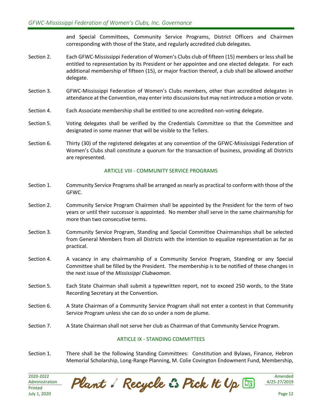and Special Committees, Community Service Programs, District Officers and Chairmen corresponding with those of the State, and regularly accredited club delegates.

- Section 2. Each GFWC-Mississippi Federation of Women's Clubs club of fifteen (15) members or less shall be entitled to representation by its President or her appointee and one elected delegate. For each additional membership of fifteen (15), or major fraction thereof, a club shall be allowed another delegate.
- Section 3. GFWC-Mississippi Federation of Women's Clubs members, other than accredited delegates in attendance at the Convention, may enter into discussions but may not introduce a motion or vote.
- Section 4. Each Associate membership shall be entitled to one accredited non-voting delegate.
- Section 5. Voting delegates shall be verified by the Credentials Committee so that the Committee and designated in some manner that will be visible to the Tellers.
- Section 6. Thirty (30) of the registered delegates at any convention of the GFWC-Mississippi Federation of Women's Clubs shall constitute a quorum for the transaction of business, providing all Districts are represented.

#### ARTICLE VIII - COMMUNITY SERVICE PROGRAMS

- Section 1. Community Service Programs shall be arranged as nearly as practical to conform with those of the GFWC.
- Section 2. Community Service Program Chairmen shall be appointed by the President for the term of two years or until their successor is appointed. No member shall serve in the same chairmanship for more than two consecutive terms.
- Section 3. Community Service Program, Standing and Special Committee Chairmanships shall be selected from General Members from all Districts with the intention to equalize representation as far as practical.
- Section 4. A vacancy in any chairmanship of a Community Service Program, Standing or any Special Committee shall be filled by the President. The membership is to be notified of these changes in the next issue of the *Mississippi Clubwoman*.
- Section 5. Each State Chairman shall submit a typewritten report, not to exceed 250 words, to the State Recording Secretary at the Convention.
- Section 6. A State Chairman of a Community Service Program shall not enter a contest in that Community Service Program unless she can do so under a nom de plume.
- Section 7. A State Chairman shall not serve her club as Chairman of that Community Service Program.

#### ARTICLE IX - STANDING COMMITTEES

Section 1. There shall be the following Standing Committees: Constitution and Bylaws, Finance, Hebron Memorial Scholarship, Long-Range Planning, M. Colie Covington Endowment Fund, Membership,

2020-2022<br>Administration **Plant & Recycle & Pick It Up Channel Amended** 4/25-27/2019 July 1, 2020 Page 12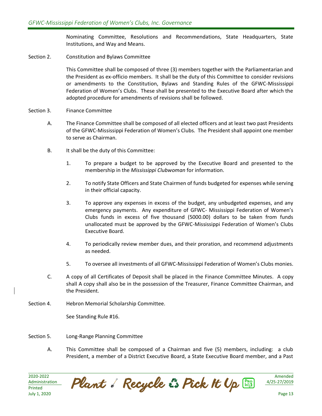Nominating Committee, Resolutions and Recommendations, State Headquarters, State Institutions, and Way and Means.

Section 2. Constitution and Bylaws Committee

This Committee shall be composed of three (3) members together with the Parliamentarian and the President as ex-officio members. It shall be the duty of this Committee to consider revisions or amendments to the Constitution, Bylaws and Standing Rules of the GFWC-Mississippi Federation of Women's Clubs. These shall be presented to the Executive Board after which the adopted procedure for amendments of revisions shall be followed.

- Section 3. Finance Committee
	- A. The Finance Committee shall be composed of all elected officers and at least two past Presidents of the GFWC-Mississippi Federation of Women's Clubs. The President shall appoint one member to serve as Chairman.
	- B. It shall be the duty of this Committee:
		- 1. To prepare a budget to be approved by the Executive Board and presented to the membership in the *Mississippi Clubwoman* for information.
		- 2. To notify State Officers and State Chairmen of funds budgeted for expenses while serving in their official capacity.
		- 3. To approve any expenses in excess of the budget, any unbudgeted expenses, and any emergency payments. Any expenditure of GFWC- Mississippi Federation of Women's Clubs funds in excess of five thousand (5000.00) dollars to be taken from funds unallocated must be approved by the GFWC-Mississippi Federation of Women's Clubs Executive Board.
		- 4. To periodically review member dues, and their proration, and recommend adjustments as needed.
		- 5. To oversee all investments of all GFWC-Mississippi Federation of Women's Clubs monies.
	- C. A copy of all Certificates of Deposit shall be placed in the Finance Committee Minutes. A copy shall A copy shall also be in the possession of the Treasurer, Finance Committee Chairman, and the President.
- Section 4. Hebron Memorial Scholarship Committee.

See Standing Rule #16.

- Section 5. Long-Range Planning Committee
	- A. This Committee shall be composed of a Chairman and five (5) members, including: a club President, a member of a District Executive Board, a State Executive Board member, and a Past

2020-2022 Printed

2020-2022<br>Administration **Plant & Recycle & Pick It Up Channel Amended** July 1, 2020 **Page 13** 

4/25-27/2019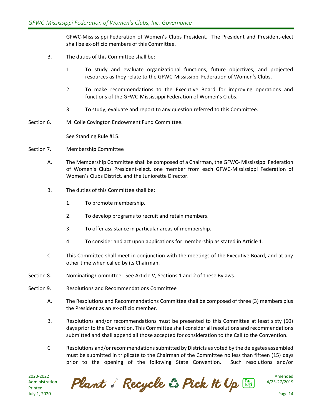GFWC-Mississippi Federation of Women's Clubs President. The President and President-elect shall be ex-officio members of this Committee.

- B. The duties of this Committee shall be:
	- 1. To study and evaluate organizational functions, future objectives, and projected resources as they relate to the GFWC-Mississippi Federation of Women's Clubs.
	- 2. To make recommendations to the Executive Board for improving operations and functions of the GFWC-Mississippi Federation of Women's Clubs.
	- 3. To study, evaluate and report to any question referred to this Committee.
- Section 6. M. Colie Covington Endowment Fund Committee.

See Standing Rule #15.

- Section 7. Membership Committee
	- A. The Membership Committee shall be composed of a Chairman, the GFWC- Mississippi Federation of Women's Clubs President-elect, one member from each GFWC-Mississippi Federation of Women's Clubs District, and the Juniorette Director.
	- B. The duties of this Committee shall be:
		- 1. To promote membership.
		- 2. To develop programs to recruit and retain members.
		- 3. To offer assistance in particular areas of membership.
		- 4. To consider and act upon applications for membership as stated in Article 1.
	- C. This Committee shall meet in conjunction with the meetings of the Executive Board, and at any other time when called by its Chairman.
- Section 8. Nominating Committee: See Article V, Sections 1 and 2 of these Bylaws.
- Section 9. Resolutions and Recommendations Committee
	- A. The Resolutions and Recommendations Committee shall be composed of three (3) members plus the President as an ex-officio member.
	- B. Resolutions and/or recommendations must be presented to this Committee at least sixty (60) days prior to the Convention. This Committee shall consider all resolutions and recommendations submitted and shall append all those accepted for consideration to the Call to the Convention.
	- C. Resolutions and/or recommendations submitted by Districts as voted by the delegates assembled must be submitted in triplicate to the Chairman of the Committee no less than fifteen (15) days prior to the opening of the following State Convention. Such resolutions and/or

2020-2022 Printed

2020-2022<br>Administration **Plant & Recycle & Pick It Up Channel Amended** July 1, 2020 **Page 14** 

4/25-27/2019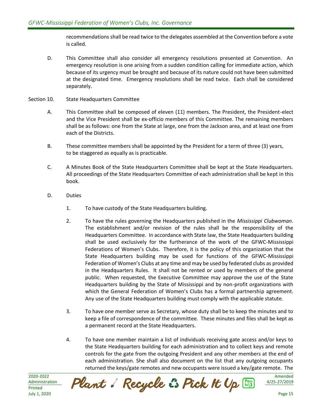recommendations shall be read twice to the delegates assembled at the Convention before a vote is called.

- D. This Committee shall also consider all emergency resolutions presented at Convention. An emergency resolution is one arising from a sudden condition calling for immediate action, which because of its urgency must be brought and because of its nature could not have been submitted at the designated time. Emergency resolutions shall be read twice. Each shall be considered separately.
- Section 10. State Headquarters Committee
	- A. This Committee shall be composed of eleven (11) members. The President, the President-elect and the Vice President shall be ex-officio members of this Committee. The remaining members shall be as follows: one from the State at large, one from the Jackson area, and at least one from each of the Districts.
	- B. These committee members shall be appointed by the President for a term of three (3) years, to be staggered as equally as is practicable.
	- C. A Minutes Book of the State Headquarters Committee shall be kept at the State Headquarters. All proceedings of the State Headquarters Committee of each administration shall be kept in this book.
	- D. Duties
		- 1. To have custody of the State Headquarters building.
		- 2. To have the rules governing the Headquarters published in the *Mississippi Clubwoman*. The establishment and/or revision of the rules shall be the responsibility of the Headquarters Committee. In accordance with State law, the State Headquarters building shall be used exclusively for the furtherance of the work of the GFWC-Mississippi Federations of Women's Clubs. Therefore, it is the policy of this organization that the State Headquarters building may be used for functions of the GFWC-Mississippi Federation of Women's Clubs at any time and may be used by federated clubs as provided in the Headquarters Rules. It shall not be rented or used by members of the general public. When requested, the Executive Committee may approve the use of the State Headquarters building by the State of Mississippi and by non-profit organizations with which the General Federation of Women's Clubs has a formal partnership agreement. Any use of the State Headquarters building must comply with the applicable statute.
		- 3. To have one member serve as Secretary, whose duty shall be to keep the minutes and to keep a file of correspondence of the committee. These minutes and files shall be kept as a permanent record at the State Headquarters.
		- 4. To have one member maintain a list of individuals receiving gate access and/or keys to the State Headquarters building for each administration and to collect keys and remote controls for the gate from the outgoing President and any other members at the end of each administration. She shall also document on the list that any outgoing occupants returned the keys/gate remotes and new occupants were issued a key/gate remote. The

2020-2022<br>Administration **Plant & Recycle & Pick It Up Channel Amended** July 1, 2020 **Page 15**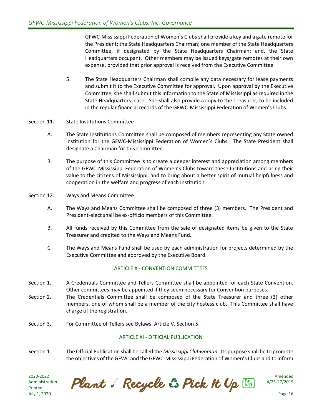GFWC-Mississippi Federation of Women's Clubs shall provide a key and a gate remote for the President; the State Headquarters Chairman; one member of the State Headquarters Committee, if designated by the State Headquarters Chairman; and, the State Headquarters occupant. Other members may be issued keys/gate remotes at their own expense, provided that prior approval is received from the Executive Committee.

- 5. The State Headquarters Chairman shall compile any data necessary for lease payments and submit it to the Executive Committee for approval. Upon approval by the Executive Committee, she shall submit this information to the State of Mississippi as required in the State Headquarters lease. She shall also provide a copy to the Treasurer, to be included in the regular financial records of the GFWC-Mississippi Federation of Women's Clubs.
- Section 11. State Institutions Committee
	- A. The State Institutions Committee shall be composed of members representing any State owned institution for the GFWC-Mississippi Federation of Women's Clubs. The State President shall designate a Chairman for this Committee.
	- B. The purpose of this Committee is to create a deeper interest and appreciation among members of the GFWC-Mississippi Federation of Women's Clubs toward these Institutions and bring their value to the citizens of Mississippi, and to bring about a better spirit of mutual helpfulness and cooperation in the welfare and progress of each Institution.
- Section 12. Ways and Means Committee
	- A. The Ways and Means Committee shall be composed of three (3) members. The President and President-elect shall be ex-officio members of this Committee.
	- B. All funds received by this Committee from the sale of designated items be given to the State Treasurer and credited to the Ways and Means Fund.
	- C. The Ways and Means Fund shall be used by each administration for projects determined by the Executive Committee and approved by the Executive Board.

#### ARTICLE X - CONVENTION COMMITTEES

- Section 1. A Credentials Committee and Tellers Committee shall be appointed for each State Convention. Other committees may be appointed if they seem necessary for Convention purposes.
- Section 2. The Credentials Committee shall be composed of the State Treasurer and three (3) other members, one of whom shall be a member of the city hostess club. This Committee shall have charge of the registration.
- Section 3. For Committee of Tellers see Bylaws, Article V, Section 5.

#### ARTICLE XI - OFFICIAL PUBLICATION

Section 1. The Official Publication shall be called the *Mississippi Clubwoman*. Its purpose shall be to promote the objectives of the GFWC and the GFWC-Mississippi Federation of Women's Clubs and to inform

2020-2022<br>Administration **Plant & Recycle & Pick It Up**  $\frac{\text{Area}}{\text{triangle}}$  4/25-27/2019 July 1, 2020 **Page 16**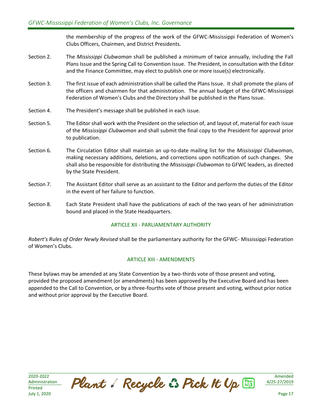the membership of the progress of the work of the GFWC-Mississippi Federation of Women's Clubs Officers, Chairmen, and District Presidents.

- Section 2. The *Mississippi Clubwoman* shall be published a minimum of twice annually, including the Fall Plans Issue and the Spring Call to Convention Issue. The President, in consultation with the Editor and the Finance Committee, may elect to publish one or more issue(s) electronically.
- Section 3. The first issue of each administration shall be called the Plans Issue. It shall promote the plans of the officers and chairmen for that administration. The annual budget of the GFWC-Mississippi Federation of Women's Clubs and the Directory shall be published in the Plans Issue.
- Section 4. The President's message shall be published in each issue.
- Section 5. The Editor shall work with the President on the selection of, and layout of, material for each issue of the *Mississippi Clubwoman* and shall submit the final copy to the President for approval prior to publication.
- Section 6. The Circulation Editor shall maintain an up-to-date mailing list for the *Mississippi Clubwoman*, making necessary additions, deletions, and corrections upon notification of such changes. She shall also be responsible for distributing the *Mississippi Clubwoman* to GFWC leaders, as directed by the State President.
- Section 7. The Assistant Editor shall serve as an assistant to the Editor and perform the duties of the Editor in the event of her failure to function.
- Section 8. Each State President shall have the publications of each of the two years of her administration bound and placed in the State Headquarters.

#### ARTICLE XII - PARLIAMENTARY AUTHORITY

*Robert's Rules of Order Newly Revised* shall be the parliamentary authority for the GFWC- Mississippi Federation of Women's Clubs.

#### ARTICLE XIII - AMENDMENTS

These bylaws may be amended at any State Convention by a two-thirds vote of those present and voting, provided the proposed amendment (or amendments) has been approved by the Executive Board and has been appended to the Call to Convention, or by a three-fourths vote of those present and voting, without prior notice and without prior approval by the Executive Board.

2020-2022 Printed July 1, 2020 **Page 17** 

2020-2022<br>Administration **Plant & Recycle & Pick It Up Channel Amended**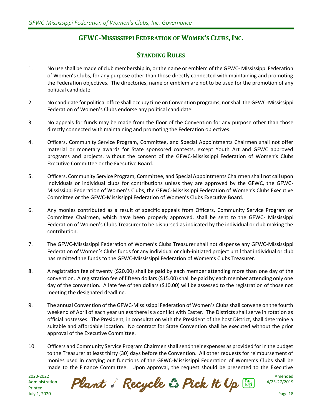# **GFWC-MISSISSIPPI FEDERATION OF WOMEN'S CLUBS,INC.**

# **STANDING RULES**

- 1. No use shall be made of club membership in, or the name or emblem of the GFWC- Mississippi Federation of Women's Clubs, for any purpose other than those directly connected with maintaining and promoting the Federation objectives. The directories, name or emblem are not to be used for the promotion of any political candidate.
- 2. No candidate for political office shall occupy time on Convention programs, nor shall the GFWC-Mississippi Federation of Women's Clubs endorse any political candidate.
- 3. No appeals for funds may be made from the floor of the Convention for any purpose other than those directly connected with maintaining and promoting the Federation objectives.
- 4. Officers, Community Service Program, Committee, and Special Appointments Chairmen shall not offer material or monetary awards for State sponsored contests, except Youth Art and GFWC approved programs and projects, without the consent of the GFWC-Mississippi Federation of Women's Clubs Executive Committee or the Executive Board.
- 5. Officers, Community Service Program, Committee, and Special Appointments Chairmen shall not call upon individuals or individual clubs for contributions unless they are approved by the GFWC, the GFWC-Mississippi Federation of Women's Clubs, the GFWC-Mississippi Federation of Women's Clubs Executive Committee or the GFWC-Mississippi Federation of Women's Clubs Executive Board.
- 6. Any monies contributed as a result of specific appeals from Officers, Community Service Program or Committee Chairmen, which have been properly approved, shall be sent to the GFWC- Mississippi Federation of Women's Clubs Treasurer to be disbursed as indicated by the individual or club making the contribution.
- 7. The GFWC-Mississippi Federation of Women's Clubs Treasurer shall not dispense any GFWC-Mississippi Federation of Women's Clubs funds for any individual or club-initiated project until that individual or club has remitted the funds to the GFWC-Mississippi Federation of Women's Clubs Treasurer.
- 8. A registration fee of twenty (\$20.00) shall be paid by each member attending more than one day of the convention. A registration fee of fifteen dollars (\$15.00) shall be paid by each member attending only one day of the convention. A late fee of ten dollars (\$10.00) will be assessed to the registration of those not meeting the designated deadline.
- 9. The annual Convention of the GFWC-Mississippi Federation of Women's Clubs shall convene on the fourth weekend of April of each year unless there is a conflict with Easter. The Districts shall serve in rotation as official hostesses. The President, in consultation with the President of the host District, shall determine a suitable and affordable location. No contract for State Convention shall be executed without the prior approval of the Executive Committee.
- 10. Officers and Community Service Program Chairmen shall send their expenses as provided for in the budget to the Treasurer at least thirty (30) days before the Convention. All other requests for reimbursement of monies used in carrying out functions of the GFWC-Mississippi Federation of Women's Clubs shall be made to the Finance Committee. Upon approval, the request should be presented to the Executive

2020-2022<br>Administration **Plant & Recycle & Pick It Up Channel Amended** July 1, 2020 Page 18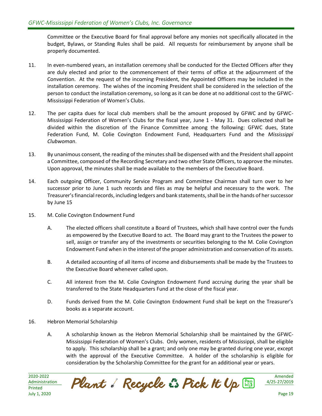Committee or the Executive Board for final approval before any monies not specifically allocated in the budget, Bylaws, or Standing Rules shall be paid. All requests for reimbursement by anyone shall be properly documented.

- 11. In even-numbered years, an installation ceremony shall be conducted for the Elected Officers after they are duly elected and prior to the commencement of their terms of office at the adjournment of the Convention. At the request of the incoming President, the Appointed Officers may be included in the installation ceremony. The wishes of the incoming President shall be considered in the selection of the person to conduct the installation ceremony, so long as it can be done at no additional cost to the GFWC-Mississippi Federation of Women's Clubs.
- 12. The per capita dues for local club members shall be the amount proposed by GFWC and by GFWC-Mississippi Federation of Women's Clubs for the fiscal year, June 1 - May 31. Dues collected shall be divided within the discretion of the Finance Committee among the following: GFWC dues, State Federation Fund, M. Colie Covington Endowment Fund, Headquarters Fund and the *Mississippi Clubwoman*.
- 13. By unanimous consent, the reading of the minutes shall be dispensed with and the President shall appoint a Committee, composed of the Recording Secretary and two other State Officers, to approve the minutes. Upon approval, the minutes shall be made available to the members of the Executive Board.
- 14. Each outgoing Officer, Community Service Program and Committee Chairman shall turn over to her successor prior to June 1 such records and files as may be helpful and necessary to the work. The Treasurer's financial records, including ledgers and bank statements, shall be in the hands of her successor by June 15
- 15. M. Colie Covington Endowment Fund
	- A. The elected officers shall constitute a Board of Trustees, which shall have control over the funds as empowered by the Executive Board to act. The Board may grant to the Trustees the power to sell, assign or transfer any of the investments or securities belonging to the M. Colie Covington Endowment Fund when in the interest of the proper administration and conservation of its assets.
	- B. A detailed accounting of all items of income and disbursements shall be made by the Trustees to the Executive Board whenever called upon.
	- C. All interest from the M. Colie Covington Endowment Fund accruing during the year shall be transferred to the State Headquarters Fund at the close of the fiscal year.
	- D. Funds derived from the M. Colie Covington Endowment Fund shall be kept on the Treasurer's books as a separate account.
- 16. Hebron Memorial Scholarship
	- A. A scholarship known as the Hebron Memorial Scholarship shall be maintained by the GFWC-Mississippi Federation of Women's Clubs. Only women, residents of Mississippi, shall be eligible to apply. This scholarship shall be a grant; and only one may be granted during one year, except with the approval of the Executive Committee. A holder of the scholarship is eligible for consideration by the Scholarship Committee for the grant for an additional year or years.

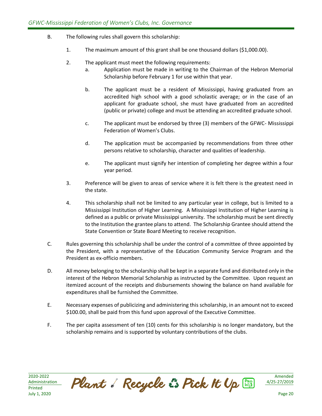- B. The following rules shall govern this scholarship:
	- 1. The maximum amount of this grant shall be one thousand dollars (\$1,000.00).
	- 2. The applicant must meet the following requirements:
		- a. Application must be made in writing to the Chairman of the Hebron Memorial Scholarship before February 1 for use within that year.
		- b. The applicant must be a resident of Mississippi, having graduated from an accredited high school with a good scholastic average; or in the case of an applicant for graduate school, she must have graduated from an accredited (public or private) college and must be attending an accredited graduate school.
		- c. The applicant must be endorsed by three (3) members of the GFWC- Mississippi Federation of Women's Clubs.
		- d. The application must be accompanied by recommendations from three other persons relative to scholarship, character and qualities of leadership.
		- e. The applicant must signify her intention of completing her degree within a four year period.
	- 3. Preference will be given to areas of service where it is felt there is the greatest need in the state.
	- 4. This scholarship shall not be limited to any particular year in college, but is limited to a Mississippi Institution of Higher Learning. A Mississippi Institution of Higher Learning is defined as a public or private Mississippi university. The scholarship must be sent directly to the Institution the grantee plans to attend. The Scholarship Grantee should attend the State Convention or State Board Meeting to receive recognition.
- C. Rules governing this scholarship shall be under the control of a committee of three appointed by the President, with a representative of the Education Community Service Program and the President as ex-officio members.
- D. All money belonging to the scholarship shall be kept in a separate fund and distributed only in the interest of the Hebron Memorial Scholarship as instructed by the Committee. Upon request an itemized account of the receipts and disbursements showing the balance on hand available for expenditures shall be furnished the Committee.
- E. Necessary expenses of publicizing and administering this scholarship, in an amount not to exceed \$100.00, shall be paid from this fund upon approval of the Executive Committee.
- F. The per capita assessment of ten (10) cents for this scholarship is no longer mandatory, but the scholarship remains and is supported by voluntary contributions of the clubs.

2020-2022<br>Administration **Plant & Recycle & Pick It Up Channel Amended** 4/25-27/2019 July 1, 2020 Page 20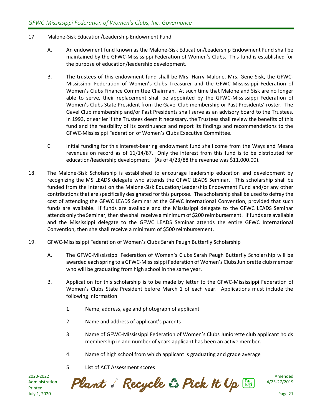- 17. Malone-Sisk Education/Leadership Endowment Fund
	- A. An endowment fund known as the Malone-Sisk Education/Leadership Endowment Fund shall be maintained by the GFWC-Mississippi Federation of Women's Clubs. This fund is established for the purpose of education/leadership development.
	- B. The trustees of this endowment fund shall be Mrs. Harry Malone, Mrs. Gene Sisk, the GFWC-Mississippi Federation of Women's Clubs Treasurer and the GFWC-Mississippi Federation of Women's Clubs Finance Committee Chairman. At such time that Malone and Sisk are no longer able to serve, their replacement shall be appointed by the GFWC-Mississippi Federation of Women's Clubs State President from the Gavel Club membership or Past Presidents' roster. The Gavel Club membership and/or Past Presidents shall serve as an advisory board to the Trustees. In 1993, or earlier if the Trustees deem it necessary, the Trustees shall review the benefits of this fund and the feasibility of its continuance and report its findings and recommendations to the GFWC-Mississippi Federation of Women's Clubs Executive Committee.
	- C. Initial funding for this interest-bearing endowment fund shall come from the Ways and Means revenues on record as of 11/14/87. Only the interest from this fund is to be distributed for education/leadership development. (As of 4/23/88 the revenue was \$11,000.00).
- 18. The Malone-Sisk Scholarship is established to encourage leadership education and development by recognizing the MS LEADS delegate who attends the GFWC LEADS Seminar. This scholarship shall be funded from the interest on the Malone-Sisk Education/Leadership Endowment Fund and/or any other contributions that are specifically designated for this purpose. The scholarship shall be used to defray the cost of attending the GFWC LEADS Seminar at the GFWC International Convention, provided that such funds are available. If funds are available and the Mississippi delegate to the GFWC LEADS Seminar attends only the Seminar, then she shall receive a minimum of \$200 reimbursement. If funds are available and the Mississippi delegate to the GFWC LEADS Seminar attends the entire GFWC International Convention, then she shall receive a minimum of \$500 reimbursement.
- 19. GFWC-Mississippi Federation of Women's Clubs Sarah Peugh Butterfly Scholarship
	- A. The GFWC-Mississippi Federation of Women's Clubs Sarah Peugh Butterfly Scholarship will be awarded each spring to a GFWC-Mississippi Federation of Women's Clubs Juniorette club member who will be graduating from high school in the same year.
	- B. Application for this scholarship is to be made by letter to the GFWC-Mississippi Federation of Women's Clubs State President before March 1 of each year. Applications must include the following information:
		- 1. Name, address, age and photograph of applicant
		- 2. Name and address of applicant's parents
		- 3. Name of GFWC-Mississippi Federation of Women's Clubs Juniorette club applicant holds membership in and number of years applicant has been an active member.
		- 4. Name of high school from which applicant is graduating and grade average
		- 5. List of ACT Assessment scores

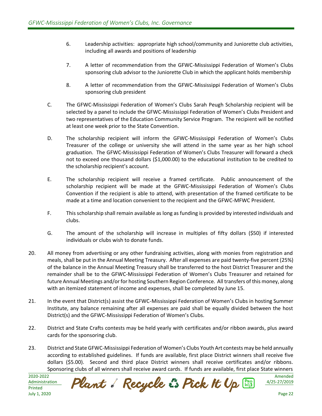- 6. Leadership activities: appropriate high school/community and Juniorette club activities, including all awards and positions of leadership
- 7. A letter of recommendation from the GFWC-Mississippi Federation of Women's Clubs sponsoring club advisor to the Juniorette Club in which the applicant holds membership
- 8. A letter of recommendation from the GFWC-Mississippi Federation of Women's Clubs sponsoring club president
- C. The GFWC-Mississippi Federation of Women's Clubs Sarah Peugh Scholarship recipient will be selected by a panel to include the GFWC-Mississippi Federation of Women's Clubs President and two representatives of the Education Community Service Program. The recipient will be notified at least one week prior to the State Convention.
- D. The scholarship recipient will inform the GFWC-Mississippi Federation of Women's Clubs Treasurer of the college or university she will attend in the same year as her high school graduation. The GFWC-Mississippi Federation of Women's Clubs Treasurer will forward a check not to exceed one thousand dollars (\$1,000.00) to the educational institution to be credited to the scholarship recipient's account.
- E. The scholarship recipient will receive a framed certificate. Public announcement of the scholarship recipient will be made at the GFWC-Mississippi Federation of Women's Clubs Convention if the recipient is able to attend, with presentation of the framed certificate to be made at a time and location convenient to the recipient and the GFWC-MFWC President.
- F. This scholarship shall remain available as long as funding is provided by interested individuals and clubs.
- G. The amount of the scholarship will increase in multiples of fifty dollars (\$50) if interested individuals or clubs wish to donate funds.
- 20. All money from advertising or any other fundraising activities, along with monies from registration and meals, shall be put in the Annual Meeting Treasury. After all expenses are paid twenty-five percent (25%) of the balance in the Annual Meeting Treasury shall be transferred to the host District Treasurer and the remainder shall be to the GFWC-Mississippi Federation of Women's Clubs Treasurer and retained for future Annual Meetings and/or for hosting Southern Region Conference. All transfers of this money, along with an itemized statement of income and expenses, shall be completed by June 15.
- 21. In the event that District(s) assist the GFWC-Mississippi Federation of Women's Clubs in hosting Summer Institute, any balance remaining after all expenses are paid shall be equally divided between the host District(s) and the GFWC-Mississippi Federation of Women's Clubs.
- 22. District and State Crafts contests may be held yearly with certificates and/or ribbon awards, plus award cards for the sponsoring club.
- 23. District and State GFWC-Mississippi Federation of Women's Clubs Youth Art contests may be held annually according to established guidelines. If funds are available, first place District winners shall receive five dollars (\$5.00). Second and third place District winners shall receive certificates and/or ribbons. Sponsoring clubs of all winners shall receive award cards. If funds are available, first place State winners

2020-2022<br>Administration **Plant & Recycle & Pick It Up**  $\frac{\text{Area}}{\text{triangle}}$  4/25-27/2019 July 1, 2020 Page 22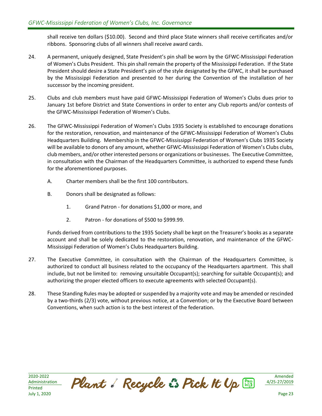shall receive ten dollars (\$10.00). Second and third place State winners shall receive certificates and/or ribbons. Sponsoring clubs of all winners shall receive award cards.

- 24. A permanent, uniquely designed, State President's pin shall be worn by the GFWC-Mississippi Federation of Women's Clubs President. This pin shall remain the property of the Mississippi Federation. If the State President should desire a State President's pin of the style designated by the GFWC, it shall be purchased by the Mississippi Federation and presented to her during the Convention of the installation of her successor by the incoming president.
- 25. Clubs and club members must have paid GFWC-Mississippi Federation of Women's Clubs dues prior to January 1st before District and State Conventions in order to enter any Club reports and/or contests of the GFWC-Mississippi Federation of Women's Clubs.
- 26. The GFWC-Mississippi Federation of Women's Clubs 1935 Society is established to encourage donations for the restoration, renovation, and maintenance of the GFWC-Mississippi Federation of Women's Clubs Headquarters Building. Membership in the GFWC-Mississippi Federation of Women's Clubs 1935 Society will be available to donors of any amount, whether GFWC-Mississippi Federation of Women's Clubs clubs, club members, and/or other interested persons or organizations or businesses. The Executive Committee, in consultation with the Chairman of the Headquarters Committee, is authorized to expend these funds for the aforementioned purposes.
	- A. Charter members shall be the first 100 contributors.
	- B. Donors shall be designated as follows:
		- 1. Grand Patron for donations \$1,000 or more, and
		- 2. Patron for donations of \$500 to \$999.99.

Funds derived from contributions to the 1935 Society shall be kept on the Treasurer's books as a separate account and shall be solely dedicated to the restoration, renovation, and maintenance of the GFWC-Mississippi Federation of Women's Clubs Headquarters Building.

- 27. The Executive Committee, in consultation with the Chairman of the Headquarters Committee, is authorized to conduct all business related to the occupancy of the Headquarters apartment. This shall include, but not be limited to: removing unsuitable Occupant(s); searching for suitable Occupant(s); and authorizing the proper elected officers to execute agreements with selected Occupant(s).
- 28. These Standing Rules may be adopted or suspended by a majority vote and may be amended or rescinded by a two-thirds (2/3) vote, without previous notice, at a Convention; or by the Executive Board between Conventions, when such action is to the best interest of the federation.

2020-2022<br>Administration **Plant & Recycle & Pick It Up Channel Amended** July 1, 2020 Page 23